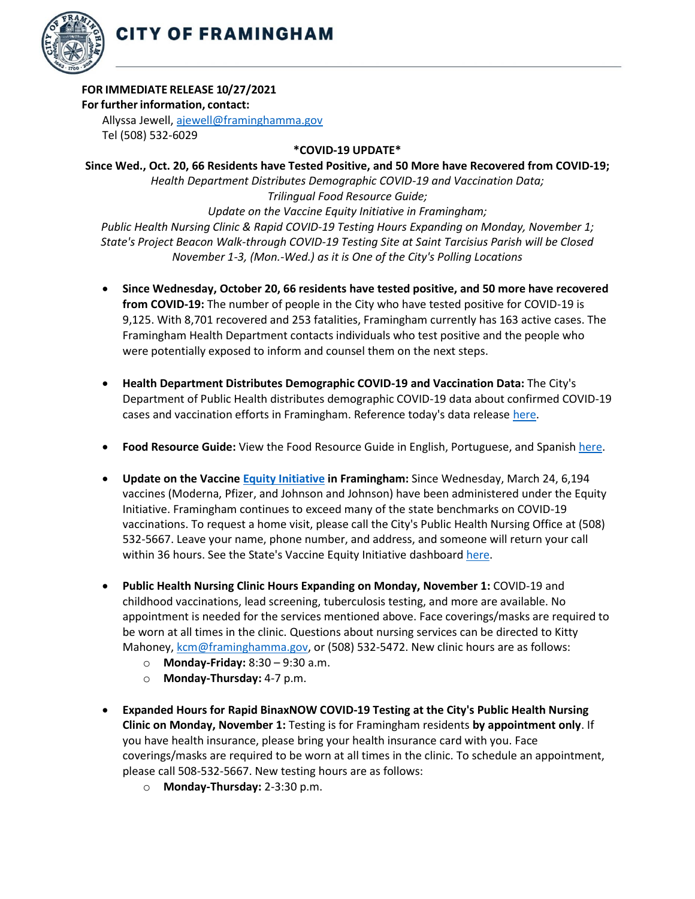

## **FOR IMMEDIATE RELEASE 10/27/2021**

## **For further information, contact:**

Allyssa Jewell, [ajewell@framinghamma.gov](mailto:ajewell@framinghamma.gov) Tel (508) 532-6029

## **\*COVID-19 UPDATE\***

**Since Wed., Oct. 20, 66 Residents have Tested Positive, and 50 More have Recovered from COVID-19;** *Health Department Distributes Demographic COVID-19 and Vaccination Data; Trilingual Food Resource Guide; Update on the Vaccine Equity Initiative in Framingham; Public Health Nursing Clinic & Rapid COVID-19 Testing Hours Expanding on Monday, November 1; State's Project Beacon Walk-through COVID-19 Testing Site at Saint Tarcisius Parish will be Closed November 1-3, (Mon.-Wed.) as it is One of the City's Polling Locations*

- **Since Wednesday, October 20, 66 residents have tested positive, and 50 more have recovered from COVID-19:** The number of people in the City who have tested positive for COVID-19 is 9,125. With 8,701 recovered and 253 fatalities, Framingham currently has 163 active cases. The Framingham Health Department contacts individuals who test positive and the people who were potentially exposed to inform and counsel them on the next steps.
- **Health Department Distributes Demographic COVID-19 and Vaccination Data:** The City's Department of Public Health distributes demographic COVID-19 data about confirmed COVID-19 cases and vaccination efforts in Framingham. Reference today's data release [here](https://www.framinghamma.gov/DocumentCenter/View/43571/COVID-19-Data-102721-FINAL)[.](https://www.framinghamma.gov/DocumentCenter/View/42366/COVID-19-Data-060921-FINAL)
- **Food Resource Guide:** View the Food Resource Guide in English, Portuguese, and Spanish [here](https://www.framinghamma.gov/DocumentCenter/View/42464/Food-Information-PDF-ESP)[.](https://www.framinghamma.gov/3023/Access-Food)
- **Update on the Vaccine Equity [Initiative](https://www.framinghamma.gov/3214/COVID-19-Vaccine-Information) in Framingham:** Since Wednesday, March 24, 6,194 vaccines (Moderna, Pfizer, and Johnson and Johnson) have been administered under the Equity Initiative. Framingham continues to exceed many of the state benchmarks on COVID-19 vaccinations. To request a home visit, please call the City's Public Health Nursing Office at (508) 532-5667. Leave your name, phone number, and address, and someone will return your call within 36 hours. See the State's Vaccine Equity Initiative dashboard [here.](https://www.mass.gov/info-details/covid-19-vaccine-equity-initiative-community-specific-vaccination-data#covid-19-vaccine-equity-initiative-data-dashboard-)
- **Public Health Nursing Clinic Hours Expanding on Monday, November 1:** COVID-19 and childhood vaccinations, lead screening, tuberculosis testing, and more are available. No appointment is needed for the services mentioned above. Face coverings/masks are required to be worn at all times in the clinic. Questions about nursing services can be directed to Kitty Mahoney[, kcm@framinghamma.gov,](mailto:kcm@framinghamma.gov) or (508) 532-5472. New clinic hours are as follows:
	- o **Monday-Friday:** 8:30 9:30 a.m.
	- o **Monday-Thursday:** 4-7 p.m.
- **Expanded Hours for Rapid BinaxNOW COVID-19 Testing at the City's Public Health Nursing Clinic on Monday, November 1:** Testing is for Framingham residents **by appointment only**. If you have health insurance, please bring your health insurance card with you. Face coverings/masks are required to be worn at all times in the clinic. To schedule an appointment, please call 508-532-5667. New testing hours are as follows:
	- o **Monday-Thursday:** 2-3:30 p.m.